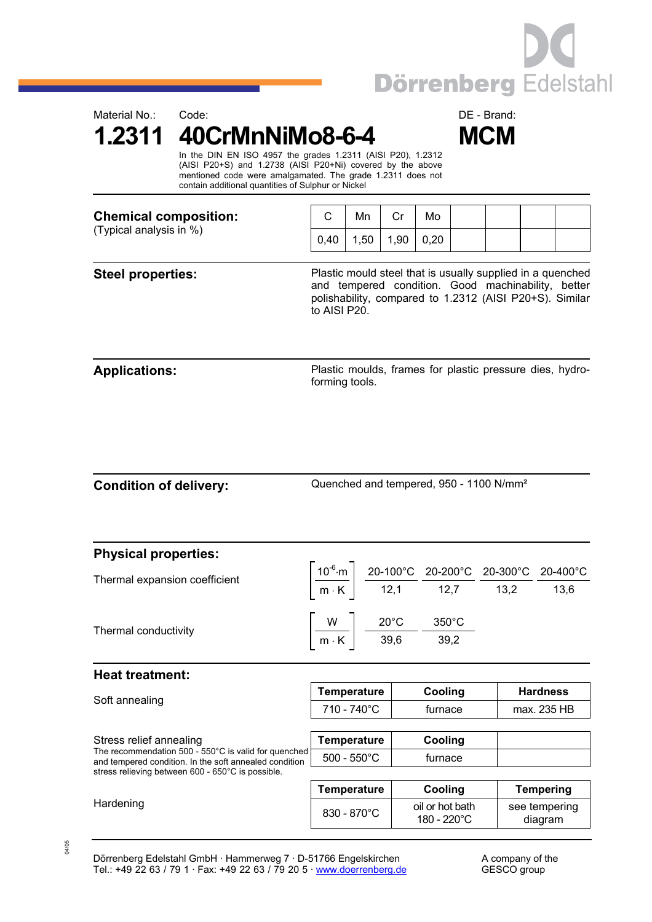

**1.2311 40CrMnNiMo8-6-4 MCM** 



 In the DIN EN ISO 4957 the grades 1.2311 (AISI P20), 1.2312 (AISI P20+S) and 1.2738 (AISI P20+Ni) covered by the above mentioned code were amalgamated. The grade 1.2311 does not contain additional quantities of Sulphur or Nickel

| <b>Chemical composition:</b><br>(Typical analysis in %) |      | Mn  |     | Mo   |  |  |
|---------------------------------------------------------|------|-----|-----|------|--|--|
|                                                         | 0.40 | .50 | .90 | 0.20 |  |  |

**Steel properties:** Plastic mould steel that is usually supplied in a quenched and tempered condition. Good machinability, better polishability, compared to 1.2312 (AISI P20+S). Similar to AISI P20.

**Applications:** Plastic moulds, frames for plastic pressure dies, hydroforming tools.

Condition of delivery: Quenched and tempered, 950 - 1100 N/mm<sup>2</sup>

| <b>Physical properties:</b>                                                                                                               |                                                                                                                                                                                                                 |                                                                              |         |                 |                 |                  |
|-------------------------------------------------------------------------------------------------------------------------------------------|-----------------------------------------------------------------------------------------------------------------------------------------------------------------------------------------------------------------|------------------------------------------------------------------------------|---------|-----------------|-----------------|------------------|
| Thermal expansion coefficient                                                                                                             |                                                                                                                                                                                                                 |                                                                              |         |                 |                 |                  |
|                                                                                                                                           | $\left[\frac{10^{-6}\text{·m}}{\text{m} \cdot \text{K}}\right] \frac{\text{20-100°C}}{\text{12,1}} \frac{\text{20-200°C}}{\text{12,7}} \frac{\text{20-300°C}}{\text{13,2}} \frac{\text{20-400°C}}{\text{13,6}}$ |                                                                              |         |                 |                 |                  |
| Thermal conductivity                                                                                                                      |                                                                                                                                                                                                                 |                                                                              |         | $350^{\circ}$ C |                 |                  |
|                                                                                                                                           |                                                                                                                                                                                                                 | $\frac{W}{m \cdot K}$ $\frac{20^{\circ}C}{39,6}$ $\frac{350^{\circ}C}{39,2}$ |         |                 |                 |                  |
| <b>Heat treatment:</b>                                                                                                                    |                                                                                                                                                                                                                 |                                                                              |         |                 |                 |                  |
| Soft annealing                                                                                                                            | <b>Temperature</b>                                                                                                                                                                                              |                                                                              |         | Cooling         | <b>Hardness</b> |                  |
|                                                                                                                                           | 710 - 740°C                                                                                                                                                                                                     |                                                                              |         | furnace         | max. 235 HB     |                  |
|                                                                                                                                           |                                                                                                                                                                                                                 |                                                                              |         |                 |                 |                  |
| Stress relief annealing<br>The recommendation 500 - 550°C is valid for quenched<br>and tempered condition. In the soft annealed condition | <b>Temperature</b>                                                                                                                                                                                              |                                                                              |         | Cooling         |                 |                  |
|                                                                                                                                           | $500 - 550^{\circ}$ C                                                                                                                                                                                           |                                                                              | furnace |                 |                 |                  |
| stress relieving between 600 - 650°C is possible.                                                                                         |                                                                                                                                                                                                                 |                                                                              |         |                 |                 |                  |
|                                                                                                                                           | <b>Temperature</b>                                                                                                                                                                                              |                                                                              |         | Cooling         |                 | <b>Tempering</b> |

Hardening and Basic Communication of the B30 - 870°C oil or hot bath of the S20°C oil or hot bath

Dörrenberg Edelstahl GmbH · Hammerweg 7 · D-51766 Engelskirchen A company of the Tel.: +49 22 63 / 79 1 · Fax: +49 22 63 / 79 20 5 [· www.doerrenberg.de](www.doerrenberg.de) GESCO group

see tempering diagram

180 - 220°C